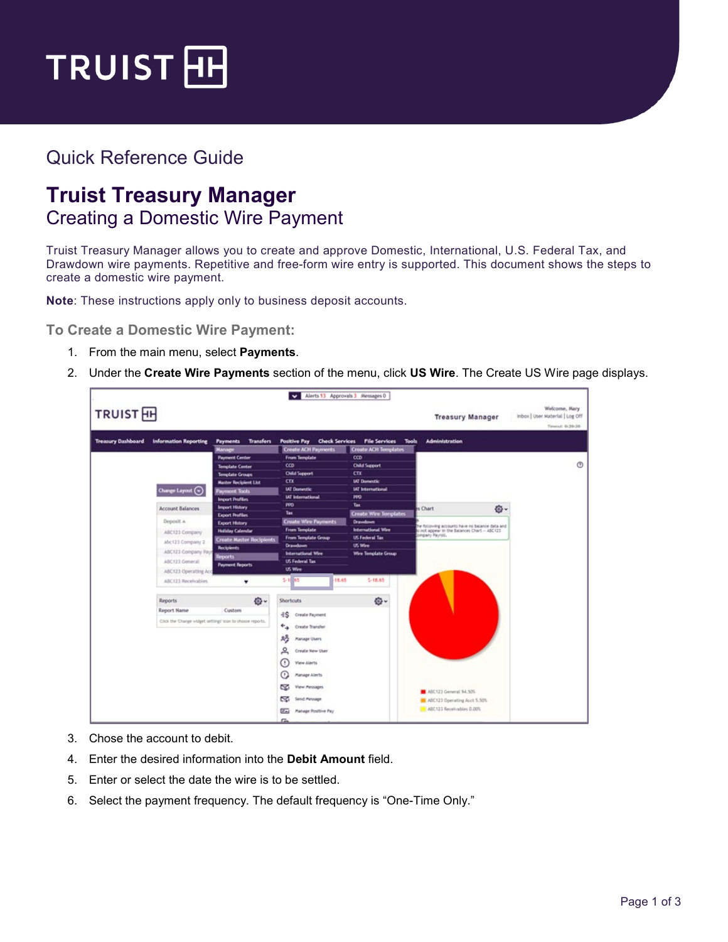

## Quick Reference Guide

## **Truist Treasury Manager** Creating a Domestic Wire Payment

Truist Treasury Manager allows you to create and approve Domestic, International, U.S. Federal Tax, and Drawdown wire payments. Repetitive and free-form wire entry is supported. This document shows the steps to create a domestic wire payment.

**Note**: These instructions apply only to business deposit accounts.

**To Create a Domestic Wire Payment:**

- 1. From the main menu, select **Payments**.
- 2. Under the **Create Wire Payments** section of the menu, click **US Wire**. The Create US Wire page displays.



- 3. Chose the account to debit.
- 4. Enter the desired information into the **Debit Amount** field.
- 5. Enter or select the date the wire is to be settled.
- 6. Select the payment frequency. The default frequency is "One-Time Only."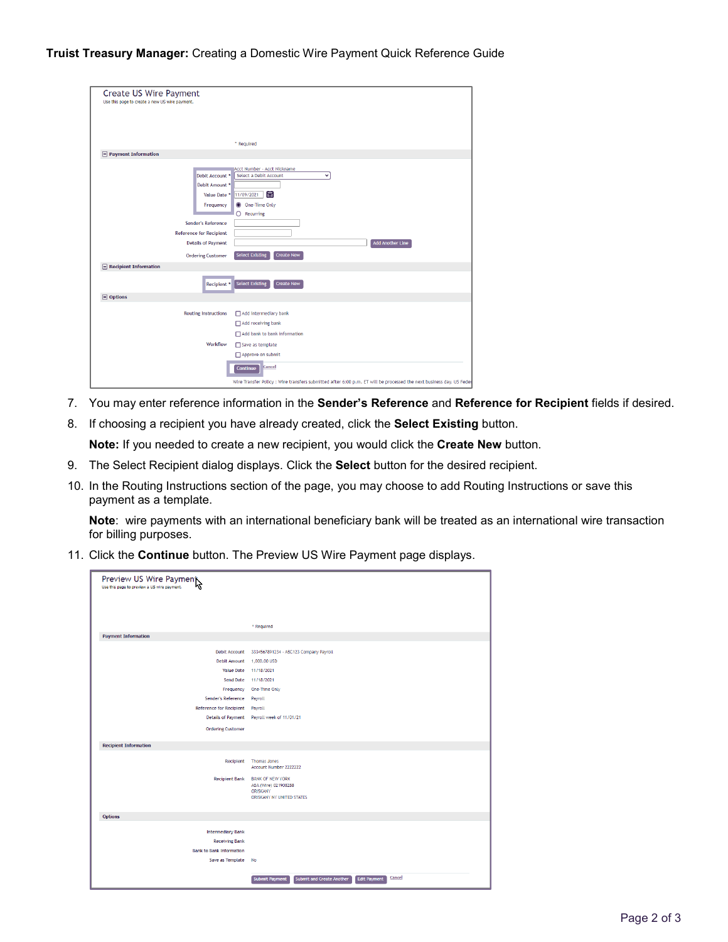## **Truist Treasury Manager:** Creating a Domestic Wire Payment Quick Reference Guide

| <b>Create US Wire Payment</b>                  |                                                                                                                      |  |
|------------------------------------------------|----------------------------------------------------------------------------------------------------------------------|--|
| Use this page to create a new US wire payment. |                                                                                                                      |  |
|                                                |                                                                                                                      |  |
|                                                |                                                                                                                      |  |
|                                                |                                                                                                                      |  |
|                                                |                                                                                                                      |  |
|                                                | * Required                                                                                                           |  |
| Payment Information                            |                                                                                                                      |  |
|                                                | Acct Number - Acct Nickname                                                                                          |  |
| Debit Account *                                | Select a Debit Account<br>$\checkmark$                                                                               |  |
| Debit Amount *                                 |                                                                                                                      |  |
| Value Date *                                   | 目<br>11/09/2021                                                                                                      |  |
| Frequency                                      | O One-Time Only                                                                                                      |  |
|                                                | $O$ Recurring                                                                                                        |  |
| Sender's Reference                             |                                                                                                                      |  |
|                                                |                                                                                                                      |  |
| <b>Reference for Recipient</b>                 |                                                                                                                      |  |
| <b>Details of Payment</b>                      | <b>Add Another Line</b>                                                                                              |  |
| <b>Ordering Customer</b>                       | <b>Select Existing</b><br><b>Create New</b>                                                                          |  |
| $\Box$ Recipient Information                   |                                                                                                                      |  |
|                                                |                                                                                                                      |  |
| Recipient *                                    | Select Existing<br><b>Create New</b>                                                                                 |  |
| $\Box$ Options                                 |                                                                                                                      |  |
|                                                |                                                                                                                      |  |
| <b>Routing Instructions</b>                    | Add intermediary bank                                                                                                |  |
|                                                | Add receiving bank                                                                                                   |  |
|                                                | Add bank to bank information                                                                                         |  |
| Workflow                                       | Save as template                                                                                                     |  |
|                                                |                                                                                                                      |  |
|                                                | Approve on submit                                                                                                    |  |
|                                                | Cancel<br>Continue                                                                                                   |  |
|                                                |                                                                                                                      |  |
|                                                | Wire Transfer Policy : Wire transfers submitted after 6:00 p.m. ET will be processed the next business day. US Feder |  |

- 7. You may enter reference information in the **Sender's Reference** and **Reference for Recipient** fields if desired.
- 8. If choosing a recipient you have already created, click the **Select Existing** button.

**Note:** If you needed to create a new recipient, you would click the **Create New** button.

- 9. The Select Recipient dialog displays. Click the **Select** button for the desired recipient.
- 10. In the Routing Instructions section of the page, you may choose to add Routing Instructions or save this payment as a template.

**Note**: wire payments with an international beneficiary bank will be treated as an international wire transaction for billing purposes.

11. Click the **Continue** button. The Preview US Wire Payment page displays.

| Preview US Wire Payment         |                                                                       |
|---------------------------------|-----------------------------------------------------------------------|
|                                 | * Required                                                            |
| <b>Payment Information</b>      |                                                                       |
|                                 |                                                                       |
| <b>Debit Account</b>            | 3334567891234 - ABC123 Company Payroll                                |
| <b>Debit Amount</b>             | 1,000.00 USD                                                          |
| <b>Value Date</b>               | 11/18/2021                                                            |
| Send Date                       | 11/18/2021                                                            |
| Frequency                       | One-Time Only                                                         |
| Sender's Reference              | Payroll                                                               |
| <b>Reference for Recipient</b>  | Payroll                                                               |
| <b>Details of Payment</b>       | Payroll week of 11/01/21                                              |
| <b>Ordering Customer</b>        |                                                                       |
| <b>Recipient Information</b>    |                                                                       |
|                                 |                                                                       |
| Recipient                       | Thomas Jones                                                          |
|                                 | Account Number 2222222                                                |
| <b>Recipient Bank</b>           | <b>BANK OF NEW YORK</b>                                               |
|                                 | ABA (Wire) 021908288<br><b>ORISKANY</b>                               |
|                                 | ORISKANY NY UNITED STATES                                             |
|                                 |                                                                       |
| <b>Options</b>                  |                                                                       |
| <b>Intermediary Bank</b>        |                                                                       |
| <b>Receiving Bank</b>           |                                                                       |
| <b>Bank to Bank Information</b> |                                                                       |
| Save as Template No             |                                                                       |
|                                 |                                                                       |
|                                 | Cancel<br>Submit and Create Another<br>Submit Payment<br>Edit Payment |